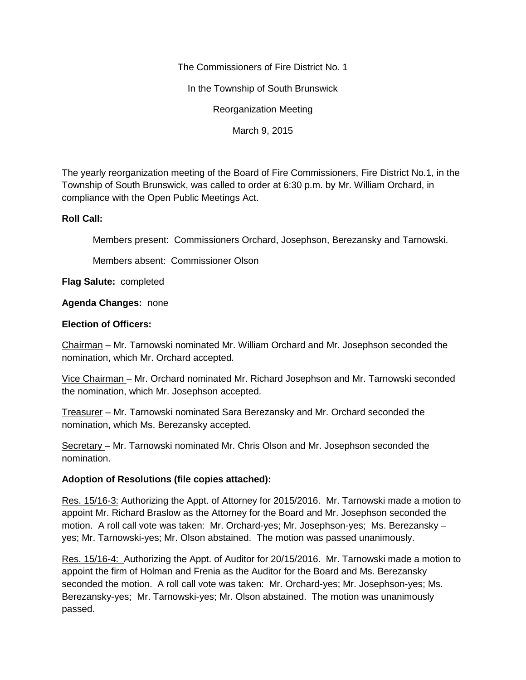The Commissioners of Fire District No. 1

In the Township of South Brunswick

Reorganization Meeting

March 9, 2015

The yearly reorganization meeting of the Board of Fire Commissioners, Fire District No.1, in the Township of South Brunswick, was called to order at 6:30 p.m. by Mr. William Orchard, in compliance with the Open Public Meetings Act.

## **Roll Call:**

Members present: Commissioners Orchard, Josephson, Berezansky and Tarnowski.

Members absent: Commissioner Olson

**Flag Salute:** completed

## **Agenda Changes:** none

## **Election of Officers:**

Chairman – Mr. Tarnowski nominated Mr. William Orchard and Mr. Josephson seconded the nomination, which Mr. Orchard accepted.

Vice Chairman – Mr. Orchard nominated Mr. Richard Josephson and Mr. Tarnowski seconded the nomination, which Mr. Josephson accepted.

Treasurer – Mr. Tarnowski nominated Sara Berezansky and Mr. Orchard seconded the nomination, which Ms. Berezansky accepted.

Secretary – Mr. Tarnowski nominated Mr. Chris Olson and Mr. Josephson seconded the nomination.

## **Adoption of Resolutions (file copies attached):**

Res. 15/16-3: Authorizing the Appt. of Attorney for 2015/2016. Mr. Tarnowski made a motion to appoint Mr. Richard Braslow as the Attorney for the Board and Mr. Josephson seconded the motion. A roll call vote was taken: Mr. Orchard-yes; Mr. Josephson-yes; Ms. Berezansky – yes; Mr. Tarnowski-yes; Mr. Olson abstained. The motion was passed unanimously.

Res. 15/16-4: Authorizing the Appt. of Auditor for 20/15/2016. Mr. Tarnowski made a motion to appoint the firm of Holman and Frenia as the Auditor for the Board and Ms. Berezansky seconded the motion. A roll call vote was taken: Mr. Orchard-yes; Mr. Josephson-yes; Ms. Berezansky-yes; Mr. Tarnowski-yes; Mr. Olson abstained. The motion was unanimously passed.